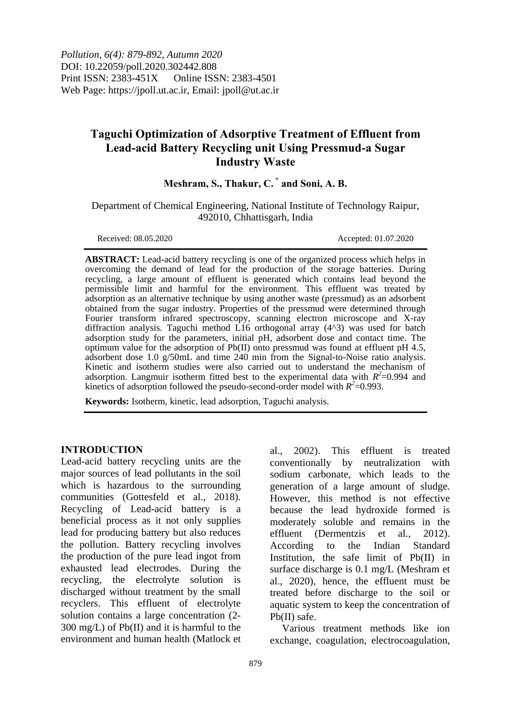*Pollution, 6(4): 879-892, Autumn 2020* DOI: 10.22059/poll.2020.302442.808 Print ISSN: 2383-451X Online ISSN: 2383-4501 Web Page: https://jpoll.ut.ac.ir, Email: jpoll@ut.ac.ir

# **Taguchi Optimization of Adsorptive Treatment of Effluent from Lead-acid Battery Recycling unit Using Pressmud-a Sugar Industry Waste**

## **Meshram, S., Thakur, C. \* and Soni, A. B.**

Department of Chemical Engineering, National Institute of Technology Raipur, 492010, Chhattisgarh, India

Received: 08.05.2020 Accepted: 01.07.2020

**ABSTRACT:** Lead-acid battery recycling is one of the organized process which helps in overcoming the demand of lead for the production of the storage batteries. During recycling, a large amount of effluent is generated which contains lead beyond the permissible limit and harmful for the environment. This effluent was treated by adsorption as an alternative technique by using another waste (pressmud) as an adsorbent obtained from the sugar industry. Properties of the pressmud were determined through Fourier transform infrared spectroscopy, scanning electron microscope and X-ray diffraction analysis. Taguchi method L16 orthogonal array (4^3) was used for batch adsorption study for the parameters, initial pH, adsorbent dose and contact time. The optimum value for the adsorption of Pb(II) onto pressmud was found at effluent pH 4.5, adsorbent dose 1.0 g/50mL and time 240 min from the Signal-to-Noise ratio analysis. Kinetic and isotherm studies were also carried out to understand the mechanism of adsorption. Langmuir isotherm fitted best to the experimental data with  $R^2$ =0.994 and kinetics of adsorption followed the pseudo-second-order model with  $R^2$ =0.993.

**Keywords:** Isotherm, kinetic, lead adsorption, Taguchi analysis.

#### **INTRODUCTION**

Lead-acid battery recycling units are the major sources of lead pollutants in the soil which is hazardous to the surrounding communities (Gottesfeld et al., 2018). Recycling of Lead-acid battery is a beneficial process as it not only supplies lead for producing battery but also reduces the pollution. Battery recycling involves the production of the pure lead ingot from exhausted lead electrodes. During the recycling, the electrolyte solution is discharged without treatment by the small recyclers. This effluent of electrolyte solution contains a large concentration (2- 300 mg/L) of Pb(II) and it is harmful to the environment and human health (Matlock et

al., 2002). This effluent is treated conventionally by neutralization with sodium carbonate, which leads to the generation of a large amount of sludge. However, this method is not effective because the lead hydroxide formed is moderately soluble and remains in the effluent (Dermentzis et al., 2012). According to the Indian Standard Institution, the safe limit of Pb(II) in surface discharge is 0.1 mg/L (Meshram et al., 2020), hence, the effluent must be treated before discharge to the soil or aquatic system to keep the concentration of Pb(II) safe.

Various treatment methods like ion exchange, coagulation, electrocoagulation,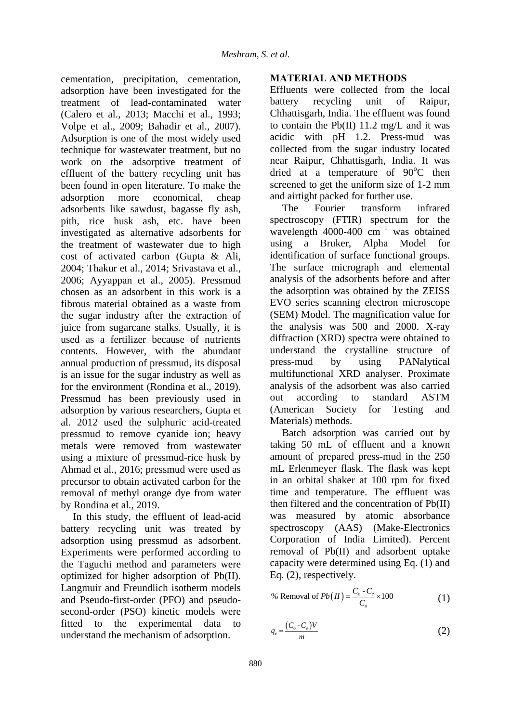cementation, precipitation, cementation, adsorption have been investigated for the treatment of lead-contaminated water (Calero et al., 2013; Macchi et al., 1993; Volpe et al., 2009; Bahadir et al., 2007). Adsorption is one of the most widely used technique for wastewater treatment, but no work on the adsorptive treatment of effluent of the battery recycling unit has been found in open literature. To make the adsorption more economical, cheap adsorbents like sawdust, bagasse fly ash, pith, rice husk ash, etc. have been investigated as alternative adsorbents for the treatment of wastewater due to high cost of activated carbon (Gupta & Ali, 2004; Thakur et al., 2014; Srivastava et al., 2006; Ayyappan et al., 2005). Pressmud chosen as an adsorbent in this work is a fibrous material obtained as a waste from the sugar industry after the extraction of juice from sugarcane stalks. Usually, it is used as a fertilizer because of nutrients contents. However, with the abundant annual production of pressmud, its disposal is an issue for the sugar industry as well as for the environment (Rondina et al., 2019). Pressmud has been previously used in adsorption by various researchers, Gupta et al. 2012 used the sulphuric acid-treated pressmud to remove cyanide ion; heavy metals were removed from wastewater using a mixture of pressmud-rice husk by Ahmad et al., 2016; pressmud were used as precursor to obtain activated carbon for the removal of methyl orange dye from water by Rondina et al., 2019.

In this study, the effluent of lead-acid battery recycling unit was treated by adsorption using pressmud as adsorbent. Experiments were performed according to the Taguchi method and parameters were optimized for higher adsorption of Pb(II). Langmuir and Freundlich isotherm models and Pseudo-first-order (PFO) and pseudosecond-order (PSO) kinetic models were fitted to the experimental data to understand the mechanism of adsorption.

## **MATERIAL AND METHODS**

Effluents were collected from the local battery recycling unit of Raipur, Chhattisgarh, India. The effluent was found to contain the  $Pb(II)$  11.2 mg/L and it was acidic with pH 1.2. Press-mud was collected from the sugar industry located near Raipur, Chhattisgarh, India. It was dried at a temperature of  $90^{\circ}$ C then screened to get the uniform size of 1-2 mm and airtight packed for further use.

The Fourier transform infrared spectroscopy (FTIR) spectrum for the wavelength 4000-400  $cm^{-1}$  was obtained using a Bruker, Alpha Model for identification of surface functional groups. The surface micrograph and elemental analysis of the adsorbents before and after the adsorption was obtained by the ZEISS EVO series scanning electron microscope (SEM) Model. The magnification value for the analysis was 500 and 2000. X-ray diffraction (XRD) spectra were obtained to understand the crystalline structure of press-mud by using PANalytical multifunctional XRD analyser. Proximate analysis of the adsorbent was also carried out according to standard ASTM (American Society for Testing and Materials) methods.

Batch adsorption was carried out by taking 50 mL of effluent and a known amount of prepared press-mud in the 250 mL Erlenmeyer flask. The flask was kept in an orbital shaker at 100 rpm for fixed time and temperature. The effluent was then filtered and the concentration of Pb(II) was measured by atomic absorbance spectroscopy (AAS) (Make-Electronics Corporation of India Limited). Percent removal of Pb(II) and adsorbent uptake capacity were determined using Eq. (1) and Eq. (2), respectively.

$$
\% \text{ Removal of } Pb(\Pi) = \frac{C_o - C_e}{C_o} \times 100 \tag{1}
$$

$$
q_e = \frac{(C_o - C_e)V}{m} \tag{2}
$$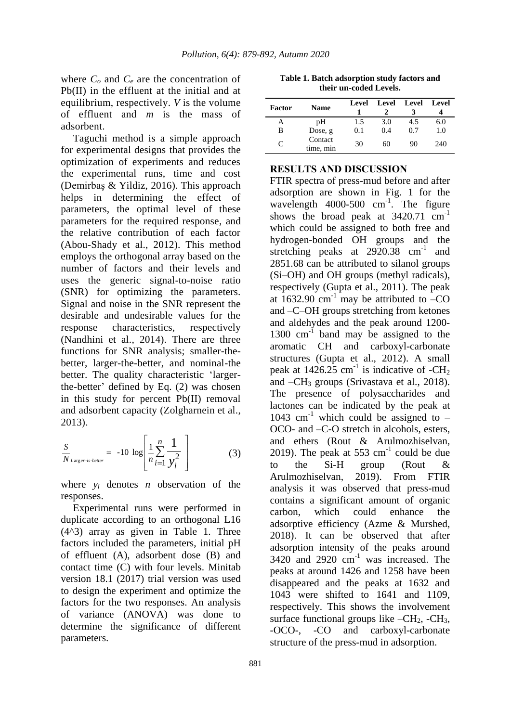where  $C<sub>o</sub>$  and  $C<sub>e</sub>$  are the concentration of Pb(II) in the effluent at the initial and at equilibrium, respectively. *V* is the volume of effluent and *m* is the mass of adsorbent.

Taguchi method is a simple approach for experimental designs that provides the optimization of experiments and reduces the experimental runs, time and cost (Demirbaş & Yildiz, 2016). This approach helps in determining the effect of parameters, the optimal level of these parameters for the required response, and the relative contribution of each factor (Abou-Shady et al., 2012). This method employs the orthogonal array based on the number of factors and their levels and uses the generic signal-to-noise ratio (SNR) for optimizing the parameters. Signal and noise in the SNR represent the desirable and undesirable values for the response characteristics, respectively (Nandhini et al., 2014). There are three functions for SNR analysis; smaller-thebetter, larger-the-better, and nominal-the better. The quality characteristic 'largerthe-better' defined by Eq. (2) was chosen in this study for percent Pb(II) removal and adsorbent capacity (Zolgharnein et al., 2013).

$$
\frac{S}{N_{Larger-is-better}} = -10 \log \left[ \frac{1}{n} \sum_{i=1}^{n} \frac{1}{y_i^2} \right]
$$
(3)

where  $v_i$  denotes *n* observation of the responses.

Experimental runs were performed in duplicate according to an orthogonal L16 (4^3) array as given in Table 1. Three factors included the parameters, initial pH of effluent (A), adsorbent dose (B) and contact time (C) with four levels. Minitab version 18.1 (2017) trial version was used to design the experiment and optimize the factors for the two responses. An analysis of variance (ANOVA) was done to determine the significance of different parameters.

**Table 1. Batch adsorption study factors and their un-coded Levels.**

| Factor | <b>Name</b>          | Level | Level Level |     | Level |
|--------|----------------------|-------|-------------|-----|-------|
| А      | pН                   | 1.5   | 3.0         | 4.5 | 6.0   |
| B      | Dose, g              | 0.1   | 0.4         | 0.7 | 1.0   |
| C      | Contact<br>time, min | 30    | 60          | 90  | 240   |

#### **RESULTS AND DISCUSSION**

FTIR spectra of press-mud before and after adsorption are shown in Fig. 1 for the wavelength 4000-500 cm<sup>-1</sup>. The figure shows the broad peak at  $3420.71$  cm<sup>-1</sup> which could be assigned to both free and hydrogen-bonded OH groups and the stretching peaks at 2920.38 cm<sup>-1</sup> and 2851.68 can be attributed to silanol groups (Si–OH) and OH groups (methyl radicals), respectively (Gupta et al., 2011). The peak at  $1632.90 \text{ cm}^{-1}$  may be attributed to  $-CO$ and –C–OH groups stretching from ketones and aldehydes and the peak around 1200- 1300 cm<sup>-1</sup> band may be assigned to the aromatic CH and carboxyl-carbonate structures (Gupta et al., 2012). A small peak at 1426.25 cm<sup>-1</sup> is indicative of -CH<sub>2</sub> and  $-CH_3$  groups (Srivastava et al., 2018). The presence of polysaccharides and lactones can be indicated by the peak at 1043 cm<sup>-1</sup> which could be assigned to  $-$ OCO- and –C-O stretch in alcohols, esters, and ethers (Rout & Arulmozhiselvan, 2019). The peak at 553  $cm^{-1}$  could be due to the Si-H group (Rout & Arulmozhiselvan, 2019). From FTIR analysis it was observed that press-mud contains a significant amount of organic carbon, which could enhance the adsorptive efficiency (Azme & Murshed, 2018). It can be observed that after adsorption intensity of the peaks around  $3420$  and  $2920$  cm<sup>-1</sup> was increased. The peaks at around 1426 and 1258 have been disappeared and the peaks at 1632 and 1043 were shifted to 1641 and 1109, respectively. This shows the involvement surface functional groups like  $-CH_2$ ,  $-CH_3$ , -OCO-, -CO and carboxyl-carbonate structure of the press-mud in adsorption.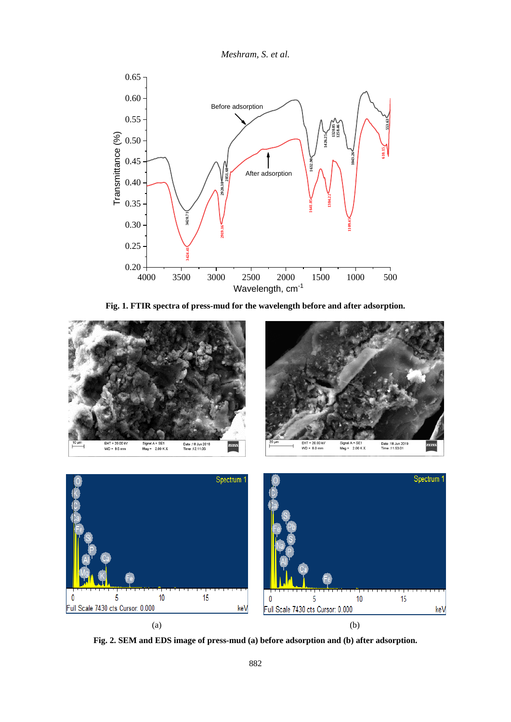

**Fig. 1. FTIR spectra of press-mud for the wavelength before and after adsorption.**





**Fig. 2. SEM and EDS image of press-mud (a) before adsorption and (b) after adsorption.**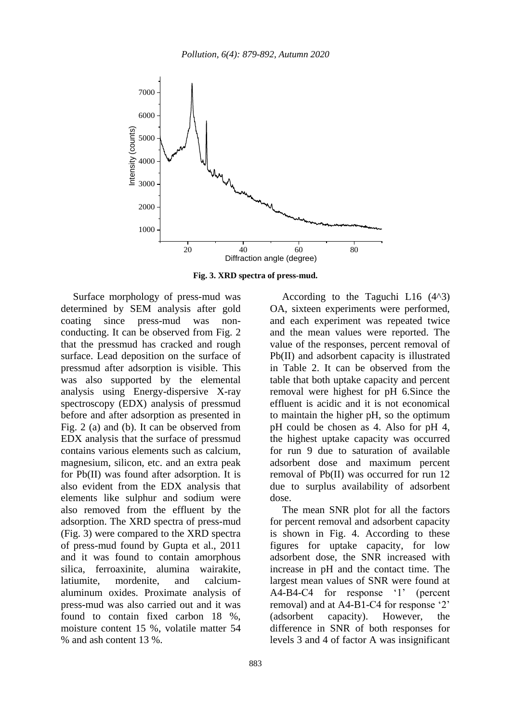

**Fig. 3. XRD spectra of press-mud.**

Surface morphology of press-mud was determined by SEM analysis after gold coating since press-mud was nonconducting. It can be observed from Fig. 2 that the pressmud has cracked and rough surface. Lead deposition on the surface of pressmud after adsorption is visible. This was also supported by the elemental analysis using Energy-dispersive X-ray spectroscopy (EDX) analysis of pressmud before and after adsorption as presented in Fig. 2 (a) and (b). It can be observed from EDX analysis that the surface of pressmud contains various elements such as calcium, magnesium, silicon, etc. and an extra peak for Pb(II) was found after adsorption. It is also evident from the EDX analysis that elements like sulphur and sodium were also removed from the effluent by the adsorption. The XRD spectra of press-mud (Fig. 3) were compared to the XRD spectra of press-mud found by Gupta et al., 2011 and it was found to contain amorphous silica, ferroaxinite, alumina wairakite, latiumite, mordenite, and calciumaluminum oxides. Proximate analysis of press-mud was also carried out and it was found to contain fixed carbon 18 %, moisture content 15 %, volatile matter 54 % and ash content 13 %.

According to the Taguchi L16  $(4^{\wedge}3)$ OA, sixteen experiments were performed, and each experiment was repeated twice and the mean values were reported. The value of the responses, percent removal of Pb(II) and adsorbent capacity is illustrated in Table 2. It can be observed from the table that both uptake capacity and percent removal were highest for pH 6.Since the effluent is acidic and it is not economical to maintain the higher pH, so the optimum pH could be chosen as 4. Also for pH 4, the highest uptake capacity was occurred for run 9 due to saturation of available adsorbent dose and maximum percent removal of Pb(II) was occurred for run 12 due to surplus availability of adsorbent dose.

The mean SNR plot for all the factors for percent removal and adsorbent capacity is shown in Fig. 4. According to these figures for uptake capacity, for low adsorbent dose, the SNR increased with increase in pH and the contact time. The largest mean values of SNR were found at A4-B4-C4 for response '1' (percent removal) and at A4-B1-C4 for response '2' (adsorbent capacity). However, the difference in SNR of both responses for levels 3 and 4 of factor A was insignificant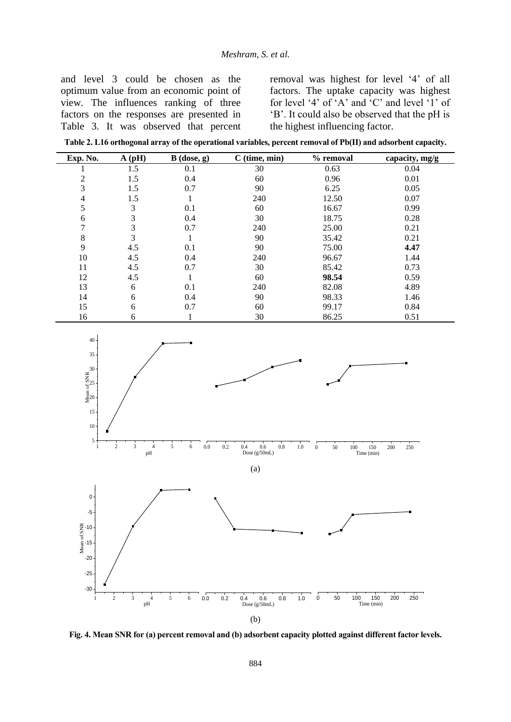and level 3 could be chosen as the optimum value from an economic point of view. The influences ranking of three factors on the responses are presented in Table 3. It was observed that percent

removal was highest for level '4' of all factors. The uptake capacity was highest for level '4' of 'A' and 'C' and level '1' of 'B'. It could also be observed that the pH is the highest influencing factor.

**Table 2. L16 orthogonal array of the operational variables, percent removal of Pb(II) and adsorbent capacity.**

| Exp. No. | $A$ (pH) | $B$ (dose, g) | $C$ (time, min) | % removal | capacity, mg/g |
|----------|----------|---------------|-----------------|-----------|----------------|
|          | 1.5      | 0.1           | 30              | 0.63      | 0.04           |
| 2        | 1.5      | 0.4           | 60              | 0.96      | 0.01           |
| 3        | 1.5      | 0.7           | 90              | 6.25      | 0.05           |
| 4        | 1.5      |               | 240             | 12.50     | 0.07           |
| 5        | 3        | 0.1           | 60              | 16.67     | 0.99           |
| 6        | 3        | 0.4           | 30              | 18.75     | 0.28           |
| 7        | 3        | 0.7           | 240             | 25.00     | 0.21           |
| 8        | 3        |               | 90              | 35.42     | 0.21           |
| 9        | 4.5      | 0.1           | 90              | 75.00     | 4.47           |
| 10       | 4.5      | 0.4           | 240             | 96.67     | 1.44           |
| 11       | 4.5      | 0.7           | 30              | 85.42     | 0.73           |
| 12       | 4.5      |               | 60              | 98.54     | 0.59           |
| 13       | 6        | 0.1           | 240             | 82.08     | 4.89           |
| 14       | 6        | 0.4           | 90              | 98.33     | 1.46           |
| 15       | 6        | 0.7           | 60              | 99.17     | 0.84           |
| 16       | 6        |               | 30              | 86.25     | 0.51           |



**Fig. 4. Mean SNR for (a) percent removal and (b) adsorbent capacity plotted against different factor levels.**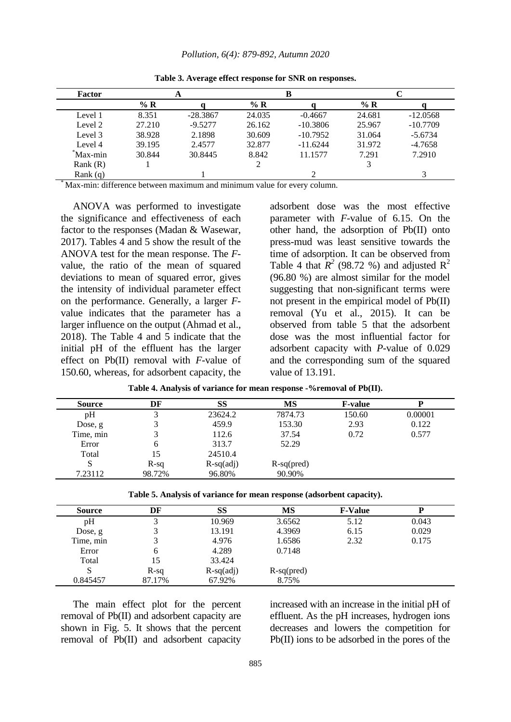*Pollution, 6(4): 879-892, Autumn 2020*

| Factor     |        |            |        |            |               |            |  |
|------------|--------|------------|--------|------------|---------------|------------|--|
|            | $\%$ R |            | $\%$ R |            | % $\mathbf R$ |            |  |
| Level 1    | 8.351  | $-28.3867$ | 24.035 | $-0.4667$  | 24.681        | $-12.0568$ |  |
| Level 2    | 27.210 | $-9.5277$  | 26.162 | $-10.3806$ | 25.967        | $-10.7709$ |  |
| Level 3    | 38.928 | 2.1898     | 30.609 | $-10.7952$ | 31.064        | $-5.6734$  |  |
| Level 4    | 39.195 | 2.4577     | 32.877 | $-11.6244$ | 31.972        | $-4.7658$  |  |
| Max-min    | 30.844 | 30.8445    | 8.842  | 11.1577    | 7.291         | 7.2910     |  |
| Rank(R)    |        |            |        |            |               |            |  |
| Rank $(q)$ |        |            |        |            |               |            |  |

**Table 3. Average effect response for SNR on responses.**

Max-min: difference between maximum and minimum value for every column.

ANOVA was performed to investigate the significance and effectiveness of each factor to the responses (Madan & Wasewar, 2017). Tables 4 and 5 show the result of the ANOVA test for the mean response. The *F*value, the ratio of the mean of squared deviations to mean of squared error, gives the intensity of individual parameter effect on the performance. Generally, a larger *F*value indicates that the parameter has a larger influence on the output (Ahmad et al., 2018). The Table 4 and 5 indicate that the initial pH of the effluent has the larger effect on Pb(II) removal with *F*-value of 150.60, whereas, for adsorbent capacity, the adsorbent dose was the most effective parameter with *F*-value of 6.15. On the other hand, the adsorption of Pb(II) onto press-mud was least sensitive towards the time of adsorption. It can be observed from Table 4 that  $\overline{R}^2$  (98.72 %) and adjusted  $\overline{R}^2$ (96.80 %) are almost similar for the model suggesting that non-significant terms were not present in the empirical model of Pb(II) removal (Yu et al., 2015). It can be observed from table 5 that the adsorbent dose was the most influential factor for adsorbent capacity with *P*-value of 0.029 and the corresponding sum of the squared value of 13.191.

| <b>Source</b> | DF     | SS          | MS           | <b>F-value</b> |         |
|---------------|--------|-------------|--------------|----------------|---------|
| pH            |        | 23624.2     | 7874.73      | 150.60         | 0.00001 |
| Dose, $g$     |        | 459.9       | 153.30       | 2.93           | 0.122   |
| Time, min     |        | 112.6       | 37.54        | 0.72           | 0.577   |
| Error         | h      | 313.7       | 52.29        |                |         |
| Total         | 15     | 24510.4     |              |                |         |
| S             | $R-sq$ | $R-sq(adj)$ | $R-sq(pred)$ |                |         |
| 7.23112       | 98.72% | 96.80%      | 90.90%       |                |         |

**Table 4. Analysis of variance for mean response -%removal of Pb(II).**

**Table 5. Analysis of variance for mean response (adsorbent capacity).**

| <b>Source</b> | DF     | <b>SS</b>   | <b>MS</b>    | <b>F-Value</b> |       |
|---------------|--------|-------------|--------------|----------------|-------|
| pH            |        | 10.969      | 3.6562       | 5.12           | 0.043 |
| Dose, g       |        | 13.191      | 4.3969       | 6.15           | 0.029 |
| Time, min     |        | 4.976       | 1.6586       | 2.32           | 0.175 |
| Error         | 6      | 4.289       | 0.7148       |                |       |
| Total         | 15     | 33.424      |              |                |       |
| S             | $R-sq$ | $R-sq(adj)$ | $R-sq(pred)$ |                |       |
| 0.845457      | 87.17% | 67.92%      | 8.75%        |                |       |

The main effect plot for the percent removal of Pb(II) and adsorbent capacity are shown in Fig. 5. It shows that the percent removal of Pb(II) and adsorbent capacity increased with an increase in the initial pH of effluent. As the pH increases, hydrogen ions decreases and lowers the competition for Pb(II) ions to be adsorbed in the pores of the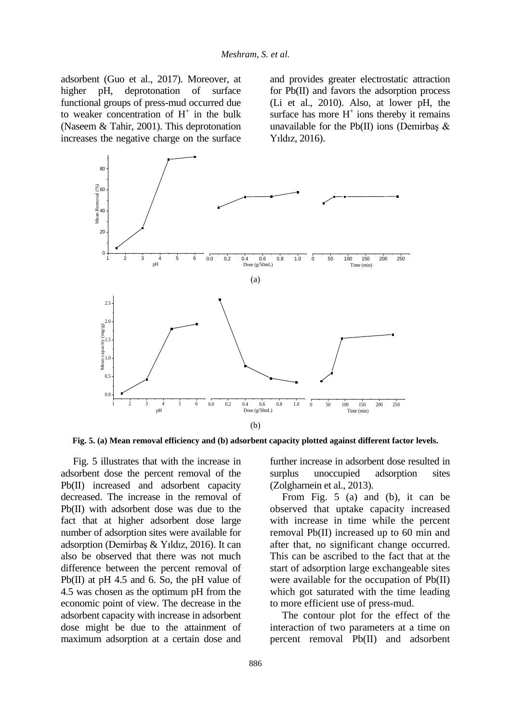adsorbent (Guo et al., 2017). Moreover, at higher pH, deprotonation of surface functional groups of press-mud occurred due to weaker concentration of  $H^+$  in the bulk (Naseem & Tahir, 2001). This deprotonation increases the negative charge on the surface

and provides greater electrostatic attraction for Pb(II) and favors the adsorption process (Li et al., 2010). Also, at lower pH, the surface has more  $H^+$  ions thereby it remains unavailable for the Pb(II) ions (Demirbaş  $\&$ Yıldız, 2016).



**Fig. 5. (a) Mean removal efficiency and (b) adsorbent capacity plotted against different factor levels.**

Fig. 5 illustrates that with the increase in adsorbent dose the percent removal of the Pb(II) increased and adsorbent capacity decreased. The increase in the removal of Pb(II) with adsorbent dose was due to the fact that at higher adsorbent dose large number of adsorption sites were available for adsorption (Demirbaş & Yıldız, 2016). It can also be observed that there was not much difference between the percent removal of Pb(II) at pH 4.5 and 6. So, the pH value of 4.5 was chosen as the optimum pH from the economic point of view. The decrease in the adsorbent capacity with increase in adsorbent dose might be due to the attainment of maximum adsorption at a certain dose and

further increase in adsorbent dose resulted in surplus unoccupied adsorption sites (Zolgharnein et al., 2013).

From Fig. 5 (a) and (b), it can be observed that uptake capacity increased with increase in time while the percent removal Pb(II) increased up to 60 min and after that, no significant change occurred. This can be ascribed to the fact that at the start of adsorption large exchangeable sites were available for the occupation of Pb(II) which got saturated with the time leading to more efficient use of press-mud.

The contour plot for the effect of the interaction of two parameters at a time on percent removal Pb(II) and adsorbent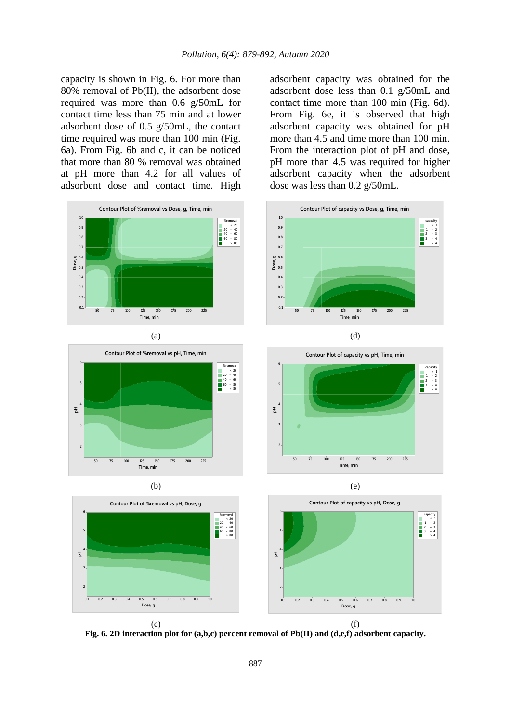capacity is shown in Fig. 6. For more than 80% removal of Pb(II), the adsorbent dose required was more than 0.6 g/50mL for contact time less than 75 min and at lower adsorbent dose of 0.5 g/50mL, the contact time required was more than 100 min (Fig. 6a). From Fig. 6b and c, it can be noticed that more than 80 % removal was obtained at pH more than 4.2 for all values of adsorbent dose and contact time. High









adsorbent capacity was obtained for the adsorbent dose less than 0.1 g/50mL and contact time more than 100 min (Fig. 6d). From Fig. 6e, it is observed that high adsorbent capacity was obtained for pH more than 4.5 and time more than 100 min. From the interaction plot of pH and dose, pH more than 4.5 was required for higher adsorbent capacity when the adsorbent dose was less than 0.2 g/50mL.









**Fig. 6. 2D interaction plot for (a,b,c) percent removal of Pb(II) and (d,e,f) adsorbent capacity.**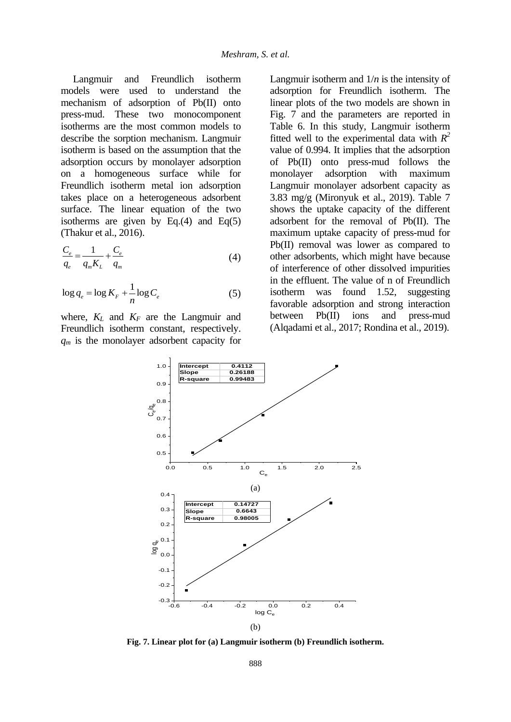Langmuir and Freundlich isotherm models were used to understand the mechanism of adsorption of Pb(II) onto press-mud. These two monocomponent isotherms are the most common models to describe the sorption mechanism. Langmuir isotherm is based on the assumption that the adsorption occurs by monolayer adsorption on a homogeneous surface while for Freundlich isotherm metal ion adsorption takes place on a heterogeneous adsorbent surface. The linear equation of the two isotherms are given by Eq.(4) and Eq(5) (Thakur et al., 2016).

$$
\frac{C_e}{q_e} = \frac{1}{q_m K_L} + \frac{C_e}{q_m}
$$
\n(4)

$$
\log q_e = \log K_F + \frac{1}{n} \log C_e \tag{5}
$$

where,  $K_L$  and  $K_F$  are the Langmuir and Freundlich isotherm constant, respectively. *q<sup>m</sup>* is the monolayer adsorbent capacity for Langmuir isotherm and 1/*n* is the intensity of adsorption for Freundlich isotherm. The linear plots of the two models are shown in Fig. 7 and the parameters are reported in Table 6. In this study, Langmuir isotherm fitted well to the experimental data with  $R^2$ value of 0.994. It implies that the adsorption of Pb(II) onto press-mud follows the monolayer adsorption with maximum Langmuir monolayer adsorbent capacity as 3.83 mg/g (Mironyuk et al., 2019). Table 7 shows the uptake capacity of the different adsorbent for the removal of Pb(II). The maximum uptake capacity of press-mud for Pb(II) removal was lower as compared to other adsorbents, which might have because of interference of other dissolved impurities in the effluent. The value of n of Freundlich isotherm was found 1.52, suggesting favorable adsorption and strong interaction between Pb(II) ions and press-mud (Alqadami et al., 2017; Rondina et al., 2019).



**Fig. 7. Linear plot for (a) Langmuir isotherm (b) Freundlich isotherm.**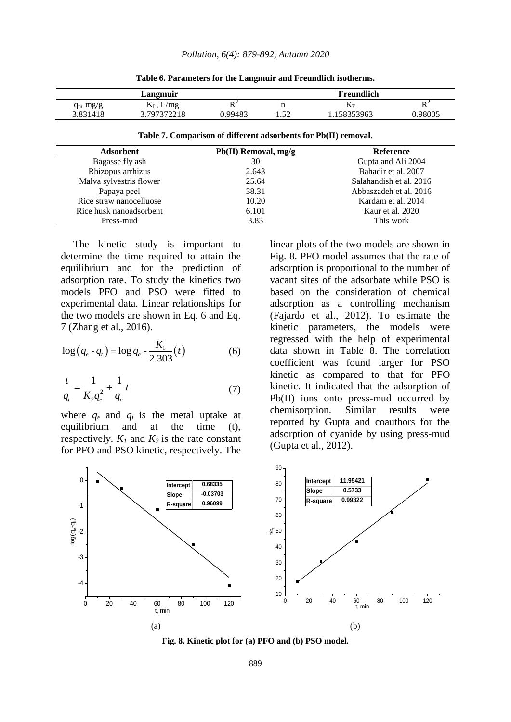**Table 6. Parameters for the Langmuir and Freundlich isotherms.**

|            | Langmuir                 |          |                     | <b>Freundlich</b> |          |
|------------|--------------------------|----------|---------------------|-------------------|----------|
| $q_m$ mg/g | L/mg<br>⊥⊾_,             | nΖ<br>17 |                     | $\mathbf{P}$      | DΖ<br>17 |
| 3.831418   | 37073722<br>10<br>44 I O | 0.99483  | $5^{\circ}$<br>1.JA | 58353963          | .98005   |

**Table 7. Comparison of different adsorbents for Pb(II) removal.**

| $Pb(II)$ Removal, mg/g | <b>Reference</b>        |
|------------------------|-------------------------|
| 30                     | Gupta and Ali 2004      |
| 2.643                  | Bahadir et al. 2007     |
| 25.64                  | Salahandish et al. 2016 |
| 38.31                  | Abbaszadeh et al. 2016  |
| 10.20                  | Kardam et al. 2014      |
| 6.101                  | Kaur et al. 2020        |
| 3.83                   | This work               |
|                        |                         |

| The kinetic study is important to           |
|---------------------------------------------|
| determine the time required to attain the   |
| equilibrium and for the prediction of       |
| adsorption rate. To study the kinetics two  |
| models PFO and PSO were fitted to           |
| experimental data. Linear relationships for |
| the two models are shown in Eq. 6 and Eq.   |

$$
\log (q_e - q_t) = \log q_e - \frac{K_1}{2.303}(t)
$$
 (6)

7 (Zhang et al., 2016).

$$
\frac{t}{q_t} = \frac{1}{K_2 q_e^2} + \frac{1}{q_e} t \tag{7}
$$

where  $q_e$  and  $q_t$  is the metal uptake at equilibrium and at the time (t), respectively.  $K_l$  and  $K_2$  is the rate constant for PFO and PSO kinetic, respectively. The linear plots of the two models are shown in Fig. 8. PFO model assumes that the rate of adsorption is proportional to the number of vacant sites of the adsorbate while PSO is based on the consideration of chemical adsorption as a controlling mechanism (Fajardo et al., 2012). To estimate the kinetic parameters, the models were regressed with the help of experimental data shown in Table 8. The correlation coefficient was found larger for PSO kinetic as compared to that for PFO kinetic. It indicated that the adsorption of Pb(II) ions onto press-mud occurred by chemisorption. Similar results were reported by Gupta and coauthors for the adsorption of cyanide by using press-mud (Gupta et al., 2012).



**Fig. 8. Kinetic plot for (a) PFO and (b) PSO model.**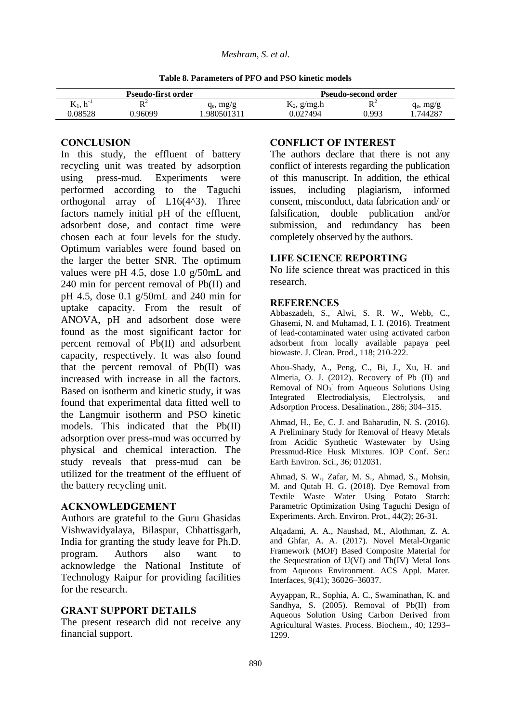**Table 8. Parameters of PFO and PSO kinetic models**

|                     | Pseudo-first order |              | <b>Pseudo-second order</b> |       |              |
|---------------------|--------------------|--------------|----------------------------|-------|--------------|
| тz<br>$K_1, h^{-1}$ | DΖ                 | $q_e$ , mg/g | $K_2$ , g/mg.h             | DΖ    | $q_e$ , mg/g |
| 0.08528             | 0.96099            | .980501311   | 0.027494                   | 0.993 | .744287      |

## **CONCLUSION**

In this study, the effluent of battery recycling unit was treated by adsorption using press-mud. Experiments were performed according to the Taguchi orthogonal array of L16(4^3). Three factors namely initial pH of the effluent, adsorbent dose, and contact time were chosen each at four levels for the study. Optimum variables were found based on the larger the better SNR. The optimum values were pH 4.5, dose 1.0 g/50mL and 240 min for percent removal of Pb(II) and pH 4.5, dose 0.1 g/50mL and 240 min for uptake capacity. From the result of ANOVA, pH and adsorbent dose were found as the most significant factor for percent removal of Pb(II) and adsorbent capacity, respectively. It was also found that the percent removal of Pb(II) was increased with increase in all the factors. Based on isotherm and kinetic study, it was found that experimental data fitted well to the Langmuir isotherm and PSO kinetic models. This indicated that the Pb(II) adsorption over press-mud was occurred by physical and chemical interaction. The study reveals that press-mud can be utilized for the treatment of the effluent of the battery recycling unit.

## **ACKNOWLEDGEMENT**

Authors are grateful to the Guru Ghasidas Vishwavidyalaya, Bilaspur, Chhattisgarh, India for granting the study leave for Ph.D. program. Authors also want to acknowledge the National Institute of Technology Raipur for providing facilities for the research.

## **GRANT SUPPORT DETAILS**

The present research did not receive any financial support.

#### **CONFLICT OF INTEREST**

The authors declare that there is not any conflict of interests regarding the publication of this manuscript. In addition, the ethical issues, including plagiarism, informed consent, misconduct, data fabrication and/ or falsification, double publication and/or submission, and redundancy has been completely observed by the authors.

## **LIFE SCIENCE REPORTING**

No life science threat was practiced in this research.

#### **REFERENCES**

Abbaszadeh, S., Alwi, S. R. W., Webb, C., Ghasemi, N. and Muhamad, I. I. (2016). Treatment of lead-contaminated water using activated carbon adsorbent from locally available papaya peel biowaste. J. Clean. Prod., 118; 210-222.

Abou-Shady, A., Peng, C., Bi, J., Xu, H. and Almeria, O. J. (2012). Recovery of Pb (II) and Removal of NO<sub>3</sub> from Aqueous Solutions Using Integrated Electrodialysis, Electrolysis, and Adsorption Process. Desalination., 286; 304–315.

Ahmad, H., Ee, C. J. and Baharudin, N. S. (2016). A Preliminary Study for Removal of Heavy Metals from Acidic Synthetic Wastewater by Using Pressmud-Rice Husk Mixtures. IOP Conf. Ser.: Earth Environ. Sci., 36; 012031.

Ahmad, S. W., Zafar, M. S., Ahmad, S., Mohsin, M. and Qutab H. G. (2018). Dye Removal from Textile Waste Water Using Potato Starch: Parametric Optimization Using Taguchi Design of Experiments. Arch. Environ. Prot., 44(2); 26-31.

Alqadami, A. A., Naushad, M., Alothman, Z. A. and Ghfar, A. A. (2017). Novel Metal-Organic Framework (MOF) Based Composite Material for the Sequestration of U(VI) and Th(IV) Metal Ions from Aqueous Environment. ACS Appl. Mater. Interfaces, 9(41); 36026–36037.

Ayyappan, R., Sophia, A. C., Swaminathan, K. and Sandhya, S. (2005). Removal of Pb(II) from Aqueous Solution Using Carbon Derived from Agricultural Wastes. Process. Biochem., 40; 1293– 1299.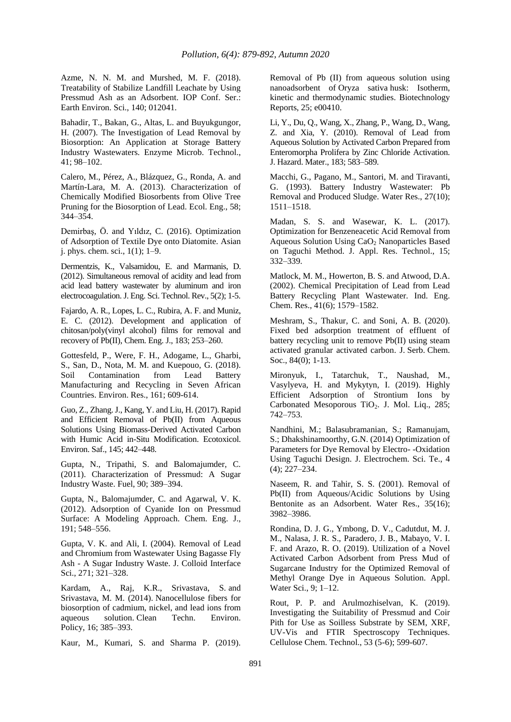Azme, N. N. M. and Murshed, M. F. (2018). Treatability of Stabilize Landfill Leachate by Using Pressmud Ash as an Adsorbent. IOP Conf. Ser.: Earth Environ. Sci., 140; 012041.

Bahadir, T., Bakan, G., Altas, L. and Buyukgungor, H. (2007). The Investigation of Lead Removal by Biosorption: An Application at Storage Battery Industry Wastewaters. Enzyme Microb. Technol., 41; 98–102.

Calero, M., Pérez, A., Blázquez, G., Ronda, A. and Martín-Lara, M. A. (2013). Characterization of Chemically Modified Biosorbents from Olive Tree Pruning for the Biosorption of Lead. Ecol. Eng., 58; 344–354.

Demirbaş, Ö. and Yıldız, C. (2016). Optimization of Adsorption of Textile Dye onto Diatomite. Asian j. phys. chem. sci., 1(1); 1–9.

Dermentzis, K., Valsamidou, E. and Marmanis, D. (2012). Simultaneous removal of acidity and lead from acid lead battery wastewater by aluminum and iron electrocoagulation. J. Eng. Sci. Technol. Rev., 5(2); 1-5.

Fajardo, A. R., Lopes, L. C., Rubira, A. F. and Muniz, E. C. (2012). Development and application of chitosan/poly(vinyl alcohol) films for removal and recovery of Pb(II), Chem. Eng. J., 183; 253–260.

Gottesfeld, P., Were, F. H., Adogame, L., Gharbi, S., San, D., Nota, M. M. and Kuepouo, G. (2018). Soil Contamination from Lead Battery Manufacturing and Recycling in Seven African Countries. Environ. Res., 161; 609-614.

Guo, Z., Zhang.J., Kang, Y. and Liu, H. (2017). Rapid and Efficient Removal of Pb(II) from Aqueous Solutions Using Biomass-Derived Activated Carbon with Humic Acid in-Situ Modification. Ecotoxicol. Environ. Saf., 145; 442–448.

Gupta, N., Tripathi, S. and Balomajumder, C. (2011). Characterization of Pressmud: A Sugar Industry Waste. Fuel, 90; 389–394.

Gupta, N., Balomajumder, C. and Agarwal, V. K. (2012). Adsorption of Cyanide Ion on Pressmud Surface: A Modeling Approach. Chem. Eng. J., 191; 548–556.

Gupta, V. K. and Ali, I. (2004). Removal of Lead and Chromium from Wastewater Using Bagasse Fly Ash - A Sugar Industry Waste. J. Colloid Interface Sci., 271; 321–328.

Kardam, A., Raj, K.R., Srivastava, S. and Srivastava, M. M. (2014). Nanocellulose fibers for biosorption of cadmium, nickel, and lead ions from aqueous solution. Clean Techn. Environ. Policy, 16; 385–393.

Kaur, M., Kumari, S. and Sharma P. (2019).

Removal of Pb (II) from aqueous solution using nanoadsorbent of Oryza sativa husk: Isotherm, kinetic and thermodynamic studies. Biotechnology Reports, 25; e00410.

Li, Y., Du, Q., Wang, X., Zhang, P., Wang, D., Wang, Z. and Xia, Y. (2010). Removal of Lead from Aqueous Solution by Activated Carbon Prepared from Enteromorpha Prolifera by Zinc Chloride Activation. J. Hazard. Mater., 183; 583–589.

Macchi, G., Pagano, M., Santori, M. and Tiravanti, G. (1993). Battery Industry Wastewater: Pb Removal and Produced Sludge. Water Res., 27(10); 1511–1518.

Madan, S. S. and Wasewar, K. L. (2017). Optimization for Benzeneacetic Acid Removal from Aqueous Solution Using CaO<sub>2</sub> Nanoparticles Based on Taguchi Method. J. Appl. Res. Technol., 15; 332–339.

Matlock, M. M., Howerton, B. S. and Atwood, D.A. (2002). Chemical Precipitation of Lead from Lead Battery Recycling Plant Wastewater. Ind. Eng. Chem. Res., 41(6); 1579–1582.

Meshram, S., Thakur, C. and Soni, A. B. (2020). Fixed bed adsorption treatment of effluent of battery recycling unit to remove Pb(II) using steam activated granular activated carbon. J. Serb. Chem. Soc., 84(0); 1-13.

Mironyuk, I., Tatarchuk, T., Naushad, M., Vasylyeva, H. and Mykytyn, I. (2019). Highly Efficient Adsorption of Strontium Ions by Carbonated Mesoporous TiO<sub>2</sub>. J. Mol. Liq., 285; 742–753.

Nandhini, M.; Balasubramanian, S.; Ramanujam, S.; Dhakshinamoorthy, G.N. (2014) Optimization of Parameters for Dye Removal by Electro- -Oxidation Using Taguchi Design. J. Electrochem. Sci. Te., 4 (4); 227–234.

Naseem, R. and Tahir, S. S. (2001). Removal of Pb(II) from Aqueous/Acidic Solutions by Using Bentonite as an Adsorbent. Water Res., 35(16); 3982–3986.

Rondina, D. J. G., Ymbong, D. V., Cadutdut, M. J. M., Nalasa, J. R. S., Paradero, J. B., Mabayo, V. I. F. and Arazo, R. O. (2019). Utilization of a Novel Activated Carbon Adsorbent from Press Mud of Sugarcane Industry for the Optimized Removal of Methyl Orange Dye in Aqueous Solution. Appl. Water Sci., 9; 1–12.

Rout, P. P. and Arulmozhiselvan, K. (2019). Investigating the Suitability of Pressmud and Coir Pith for Use as Soilless Substrate by SEM, XRF, UV-Vis and FTIR Spectroscopy Techniques. Cellulose Chem. Technol., 53 (5-6); 599-607.